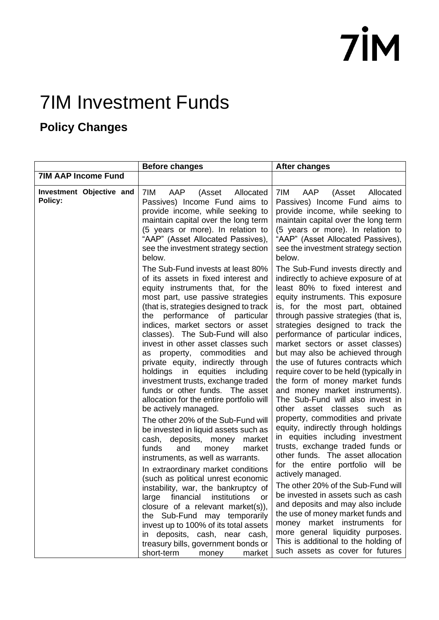#### 7IM Investment Funds

#### **Policy Changes**

|                                     | <b>Before changes</b>                                                                                                                                                                                                                                                                                                                                                                                                                                                                                                                                                                                                                                                                                                                                                                                                                                                                                                                                                                                                                                                                                                                                                                | <b>After changes</b>                                                                                                                                                                                                                                                                                                                                                                                                                                                                                                                                                                                                                                                                                                                                                                                                                                                                                                                                                                                                                                                                                                                                          |
|-------------------------------------|--------------------------------------------------------------------------------------------------------------------------------------------------------------------------------------------------------------------------------------------------------------------------------------------------------------------------------------------------------------------------------------------------------------------------------------------------------------------------------------------------------------------------------------------------------------------------------------------------------------------------------------------------------------------------------------------------------------------------------------------------------------------------------------------------------------------------------------------------------------------------------------------------------------------------------------------------------------------------------------------------------------------------------------------------------------------------------------------------------------------------------------------------------------------------------------|---------------------------------------------------------------------------------------------------------------------------------------------------------------------------------------------------------------------------------------------------------------------------------------------------------------------------------------------------------------------------------------------------------------------------------------------------------------------------------------------------------------------------------------------------------------------------------------------------------------------------------------------------------------------------------------------------------------------------------------------------------------------------------------------------------------------------------------------------------------------------------------------------------------------------------------------------------------------------------------------------------------------------------------------------------------------------------------------------------------------------------------------------------------|
| <b>7IM AAP Income Fund</b>          |                                                                                                                                                                                                                                                                                                                                                                                                                                                                                                                                                                                                                                                                                                                                                                                                                                                                                                                                                                                                                                                                                                                                                                                      |                                                                                                                                                                                                                                                                                                                                                                                                                                                                                                                                                                                                                                                                                                                                                                                                                                                                                                                                                                                                                                                                                                                                                               |
| Investment Objective and<br>Policy: | AAP<br>7IM.<br>(Asset<br>Allocated<br>Passives) Income Fund aims to<br>provide income, while seeking to<br>maintain capital over the long term<br>(5 years or more). In relation to<br>"AAP" (Asset Allocated Passives),<br>see the investment strategy section<br>below.                                                                                                                                                                                                                                                                                                                                                                                                                                                                                                                                                                                                                                                                                                                                                                                                                                                                                                            | AAP<br>(Asset<br>7IM<br>Allocated<br>Passives) Income Fund aims to<br>provide income, while seeking to<br>maintain capital over the long term<br>(5 years or more). In relation to<br>"AAP" (Asset Allocated Passives),<br>see the investment strategy section<br>below.                                                                                                                                                                                                                                                                                                                                                                                                                                                                                                                                                                                                                                                                                                                                                                                                                                                                                      |
|                                     | The Sub-Fund invests at least 80%<br>of its assets in fixed interest and<br>equity instruments that, for the<br>most part, use passive strategies<br>(that is, strategies designed to track<br>performance of particular<br>the<br>indices, market sectors or asset<br>classes). The Sub-Fund will also<br>invest in other asset classes such<br>as property, commodities and<br>private equity, indirectly through<br>holdings in<br>equities<br>including<br>investment trusts, exchange traded<br>funds or other funds. The asset<br>allocation for the entire portfolio will<br>be actively managed.<br>The other 20% of the Sub-Fund will<br>be invested in liquid assets such as<br>cash, deposits, money<br>market<br>and<br>funds<br>market<br>money<br>instruments, as well as warrants.<br>In extraordinary market conditions<br>(such as political unrest economic<br>instability, war, the bankruptcy of<br>large financial institutions<br>or<br>closure of a relevant market(s)),<br>the Sub-Fund may temporarily<br>invest up to 100% of its total assets<br>deposits, cash, near cash,<br>in<br>treasury bills, government bonds or<br>short-term<br>market<br>money | The Sub-Fund invests directly and<br>indirectly to achieve exposure of at<br>least 80% to fixed interest and<br>equity instruments. This exposure<br>is, for the most part, obtained<br>through passive strategies (that is,<br>strategies designed to track the<br>performance of particular indices,<br>market sectors or asset classes)<br>but may also be achieved through<br>the use of futures contracts which<br>require cover to be held (typically in<br>the form of money market funds<br>and money market instruments).<br>The Sub-Fund will also invest in<br>other asset classes such as<br>property, commodities and private<br>equity, indirectly through holdings<br>in equities including investment<br>trusts, exchange traded funds or<br>other funds. The asset allocation<br>for the entire portfolio will be<br>actively managed.<br>The other 20% of the Sub-Fund will<br>be invested in assets such as cash<br>and deposits and may also include<br>the use of money market funds and<br>money market instruments for<br>more general liquidity purposes.<br>This is additional to the holding of<br>such assets as cover for futures |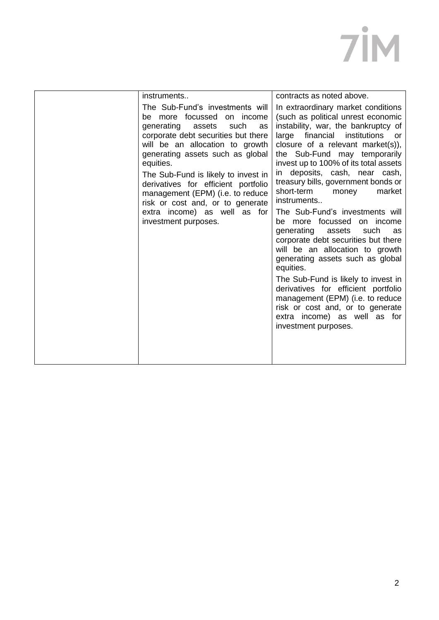| instruments                                                                                                                                                                                                                                                                                                                                                                                                                               | contracts as noted above.                                                                                                                                                                                                                                                                                                                                                                                                                                                                                                                                                                                                                                                                                                                                                                                                                |
|-------------------------------------------------------------------------------------------------------------------------------------------------------------------------------------------------------------------------------------------------------------------------------------------------------------------------------------------------------------------------------------------------------------------------------------------|------------------------------------------------------------------------------------------------------------------------------------------------------------------------------------------------------------------------------------------------------------------------------------------------------------------------------------------------------------------------------------------------------------------------------------------------------------------------------------------------------------------------------------------------------------------------------------------------------------------------------------------------------------------------------------------------------------------------------------------------------------------------------------------------------------------------------------------|
| The Sub-Fund's investments will<br>be more focussed on income<br>generating assets<br>such<br>as<br>corporate debt securities but there<br>will be an allocation to growth<br>generating assets such as global<br>equities.<br>The Sub-Fund is likely to invest in<br>derivatives for efficient portfolio<br>management (EPM) (i.e. to reduce<br>risk or cost and, or to generate<br>extra income) as well as for<br>investment purposes. | In extraordinary market conditions<br>(such as political unrest economic<br>instability, war, the bankruptcy of<br>large financial institutions<br>or<br>closure of a relevant market(s)),<br>the Sub-Fund may temporarily<br>invest up to 100% of its total assets<br>in deposits, cash, near cash,<br>treasury bills, government bonds or<br>short-term<br>market<br>money<br>instruments<br>The Sub-Fund's investments will<br>be more focussed on income<br>generating assets<br>such<br>as<br>corporate debt securities but there<br>will be an allocation to growth<br>generating assets such as global<br>equities.<br>The Sub-Fund is likely to invest in<br>derivatives for efficient portfolio<br>management (EPM) (i.e. to reduce<br>risk or cost and, or to generate<br>extra income) as well as for<br>investment purposes. |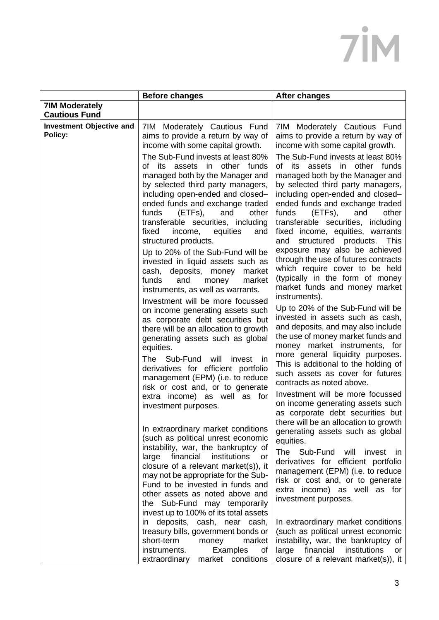|                                               | <b>Before changes</b>                                                                                                                                                                                                                                                                                                                                                                                                                                                                                                                                | <b>After changes</b>                                                                                                                                                                                                                                                                                                                                                                                                                                                                                                                                                  |
|-----------------------------------------------|------------------------------------------------------------------------------------------------------------------------------------------------------------------------------------------------------------------------------------------------------------------------------------------------------------------------------------------------------------------------------------------------------------------------------------------------------------------------------------------------------------------------------------------------------|-----------------------------------------------------------------------------------------------------------------------------------------------------------------------------------------------------------------------------------------------------------------------------------------------------------------------------------------------------------------------------------------------------------------------------------------------------------------------------------------------------------------------------------------------------------------------|
| <b>7IM Moderately</b><br><b>Cautious Fund</b> |                                                                                                                                                                                                                                                                                                                                                                                                                                                                                                                                                      |                                                                                                                                                                                                                                                                                                                                                                                                                                                                                                                                                                       |
| <b>Investment Objective and</b><br>Policy:    | 7IM Moderately Cautious Fund<br>aims to provide a return by way of<br>income with some capital growth.                                                                                                                                                                                                                                                                                                                                                                                                                                               | 7IM Moderately Cautious Fund<br>aims to provide a return by way of<br>income with some capital growth.                                                                                                                                                                                                                                                                                                                                                                                                                                                                |
|                                               | The Sub-Fund invests at least 80%<br>of its assets in other funds<br>managed both by the Manager and<br>by selected third party managers,<br>including open-ended and closed-<br>ended funds and exchange traded<br>funds<br>(ETFs),<br>other<br>and<br>transferable securities, including<br>fixed<br>income,<br>equities<br>and<br>structured products.<br>Up to 20% of the Sub-Fund will be<br>invested in liquid assets such as<br>cash,<br>deposits,<br>money<br>market<br>funds<br>and<br>money<br>market<br>instruments, as well as warrants. | The Sub-Fund invests at least 80%<br>of its assets in other funds<br>managed both by the Manager and<br>by selected third party managers,<br>including open-ended and closed-<br>ended funds and exchange traded<br>other<br>funds<br>(ETFs),<br>and<br>transferable securities, including<br>fixed income, equities, warrants<br>structured products.<br>This<br>and<br>exposure may also be achieved<br>through the use of futures contracts<br>which require cover to be held<br>(typically in the form of money<br>market funds and money market<br>instruments). |
|                                               | Investment will be more focussed<br>on income generating assets such<br>as corporate debt securities but<br>there will be an allocation to growth<br>generating assets such as global<br>equities.                                                                                                                                                                                                                                                                                                                                                   | Up to 20% of the Sub-Fund will be<br>invested in assets such as cash,<br>and deposits, and may also include<br>the use of money market funds and<br>money market instruments, for<br>more general liquidity purposes.                                                                                                                                                                                                                                                                                                                                                 |
|                                               | Sub-Fund<br>will<br>The<br>invest<br>in<br>derivatives for efficient portfolio<br>management (EPM) (i.e. to reduce<br>risk or cost and, or to generate<br>extra income) as well as for<br>investment purposes.                                                                                                                                                                                                                                                                                                                                       | This is additional to the holding of<br>such assets as cover for futures<br>contracts as noted above.<br>Investment will be more focussed<br>on income generating assets such<br>as corporate debt securities but                                                                                                                                                                                                                                                                                                                                                     |
|                                               | In extraordinary market conditions<br>(such as political unrest economic<br>instability, war, the bankruptcy of<br>financial<br>institutions<br>large<br>or<br>closure of a relevant market(s)), it<br>may not be appropriate for the Sub-<br>Fund to be invested in funds and<br>other assets as noted above and<br>the Sub-Fund may temporarily<br>invest up to 100% of its total assets                                                                                                                                                           | there will be an allocation to growth<br>generating assets such as global<br>equities.<br>The Sub-Fund<br>will<br>invest<br>ın<br>derivatives for efficient portfolio<br>management (EPM) (i.e. to reduce<br>risk or cost and, or to generate<br>extra income) as well as for<br>investment purposes.                                                                                                                                                                                                                                                                 |
|                                               | deposits, cash, near cash,<br>in<br>treasury bills, government bonds or<br>short-term<br>money<br>market<br>instruments.<br>Examples<br>0f<br>market conditions<br>extraordinary                                                                                                                                                                                                                                                                                                                                                                     | In extraordinary market conditions<br>(such as political unrest economic<br>instability, war, the bankruptcy of<br>financial<br>institutions<br>large<br>or<br>closure of a relevant market(s)), it                                                                                                                                                                                                                                                                                                                                                                   |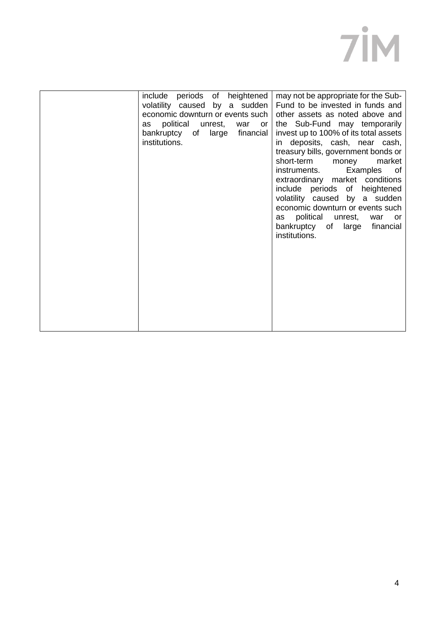| include periods of heightened<br>volatility caused by a sudden<br>economic downturn or events such<br>political unrest,<br>war<br>as<br>or<br>bankruptcy of large financial<br>institutions. | may not be appropriate for the Sub-<br>Fund to be invested in funds and<br>other assets as noted above and<br>the Sub-Fund may temporarily<br>invest up to 100% of its total assets<br>in deposits, cash, near cash,<br>treasury bills, government bonds or<br>short-term money<br>market<br>instruments. Examples of<br>extraordinary market conditions<br>include periods of heightened<br>volatility caused by a sudden<br>economic downturn or events such<br>political unrest, war<br>as<br>or<br>bankruptcy of large<br>financial<br>institutions. |
|----------------------------------------------------------------------------------------------------------------------------------------------------------------------------------------------|----------------------------------------------------------------------------------------------------------------------------------------------------------------------------------------------------------------------------------------------------------------------------------------------------------------------------------------------------------------------------------------------------------------------------------------------------------------------------------------------------------------------------------------------------------|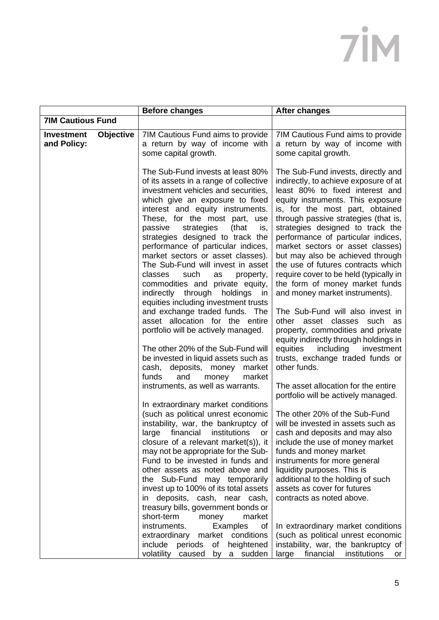|                                  |                  | <b>Before changes</b>                                                                                                                                                                                                                                                                                                                                                                                                                                                                                                                                                                                                                                                                                                                                                                                                                                                                    | <b>After changes</b>                                                                                                                                                                                                                                                                                                                                                                                                                                                                                                                                                                                                                                                                                                                                                                                                          |
|----------------------------------|------------------|------------------------------------------------------------------------------------------------------------------------------------------------------------------------------------------------------------------------------------------------------------------------------------------------------------------------------------------------------------------------------------------------------------------------------------------------------------------------------------------------------------------------------------------------------------------------------------------------------------------------------------------------------------------------------------------------------------------------------------------------------------------------------------------------------------------------------------------------------------------------------------------|-------------------------------------------------------------------------------------------------------------------------------------------------------------------------------------------------------------------------------------------------------------------------------------------------------------------------------------------------------------------------------------------------------------------------------------------------------------------------------------------------------------------------------------------------------------------------------------------------------------------------------------------------------------------------------------------------------------------------------------------------------------------------------------------------------------------------------|
| <b>7IM Cautious Fund</b>         |                  |                                                                                                                                                                                                                                                                                                                                                                                                                                                                                                                                                                                                                                                                                                                                                                                                                                                                                          |                                                                                                                                                                                                                                                                                                                                                                                                                                                                                                                                                                                                                                                                                                                                                                                                                               |
| <b>Investment</b><br>and Policy: | <b>Objective</b> | 7IM Cautious Fund aims to provide<br>a return by way of income with<br>some capital growth.                                                                                                                                                                                                                                                                                                                                                                                                                                                                                                                                                                                                                                                                                                                                                                                              | 7IM Cautious Fund aims to provide<br>a return by way of income with<br>some capital growth.                                                                                                                                                                                                                                                                                                                                                                                                                                                                                                                                                                                                                                                                                                                                   |
|                                  |                  | The Sub-Fund invests at least 80%<br>of its assets in a range of collective<br>investment vehicles and securities,<br>which give an exposure to fixed<br>interest and equity instruments.<br>These, for the most part,<br>use<br>passive<br>strategies<br>(that<br>is,<br>strategies designed to track the<br>performance of particular indices,<br>market sectors or asset classes).<br>The Sub-Fund will invest in asset<br>classes<br>such<br>as<br>property,<br>commodities and private equity,<br>indirectly through holdings<br>in in<br>equities including investment trusts<br>and exchange traded funds. The<br>asset allocation for the entire<br>portfolio will be actively managed.<br>The other 20% of the Sub-Fund will<br>be invested in liquid assets such as<br>cash, deposits, money<br>market<br>and<br>funds<br>money<br>market<br>instruments, as well as warrants. | The Sub-Fund invests, directly and<br>indirectly, to achieve exposure of at<br>least 80% to fixed interest and<br>equity instruments. This exposure<br>is, for the most part, obtained<br>through passive strategies (that is,<br>strategies designed to track the<br>performance of particular indices,<br>market sectors or asset classes)<br>but may also be achieved through<br>the use of futures contracts which<br>require cover to be held (typically in<br>the form of money market funds<br>and money market instruments).<br>The Sub-Fund will also invest in<br>asset classes<br>such as<br>other<br>property, commodities and private<br>equity indirectly through holdings in<br>equities<br>including<br>investment<br>trusts, exchange traded funds or<br>other funds.<br>The asset allocation for the entire |
|                                  |                  | In extraordinary market conditions<br>(such as political unrest economic<br>instability, war, the bankruptcy of<br>large financial institutions or<br>closure of a relevant market(s)), it<br>may not be appropriate for the Sub-<br>Fund to be invested in funds and<br>other assets as noted above and<br>the Sub-Fund may temporarily<br>invest up to 100% of its total assets<br>deposits, cash, near cash,<br>$\mathsf{I}$<br>treasury bills, government bonds or<br>short-term<br>money<br>market<br>instruments.<br>Examples<br>0f<br>extraordinary market conditions<br>include periods of heightened<br>volatility<br>caused by<br>a sudden                                                                                                                                                                                                                                     | portfolio will be actively managed.<br>The other 20% of the Sub-Fund<br>will be invested in assets such as<br>cash and deposits and may also<br>include the use of money market<br>funds and money market<br>instruments for more general<br>liquidity purposes. This is<br>additional to the holding of such<br>assets as cover for futures<br>contracts as noted above.<br>In extraordinary market conditions<br>(such as political unrest economic<br>instability, war, the bankruptcy of<br>financial<br>large<br>institutions<br>or                                                                                                                                                                                                                                                                                      |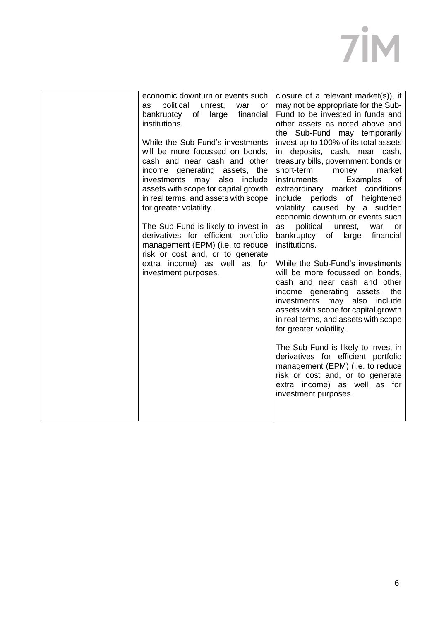| economic downturn or events such<br>political<br>unrest,<br>war<br>as<br>or<br>bankruptcy<br>financial<br>of<br>large<br>institutions.<br>While the Sub-Fund's investments<br>will be more focussed on bonds,<br>cash and near cash and other<br>income generating assets, the<br>investments may also include<br>assets with scope for capital growth<br>in real terms, and assets with scope<br>for greater volatility.<br>The Sub-Fund is likely to invest in<br>derivatives for efficient portfolio<br>management (EPM) (i.e. to reduce<br>risk or cost and, or to generate<br>extra income) as well as for<br>investment purposes. | closure of a relevant market(s)), it<br>may not be appropriate for the Sub-<br>Fund to be invested in funds and<br>other assets as noted above and<br>the Sub-Fund may temporarily<br>invest up to 100% of its total assets<br>in deposits, cash, near cash,<br>treasury bills, government bonds or<br>short-term<br>market<br>money<br>Examples<br>instruments.<br>of<br>extraordinary market conditions<br>include periods of heightened<br>volatility caused by a sudden<br>economic downturn or events such<br>political<br>as<br>unrest,<br>war<br>or<br>bankruptcy<br>of<br>large<br>financial<br>institutions.<br>While the Sub-Fund's investments<br>will be more focussed on bonds,<br>cash and near cash and other<br>income generating assets, the<br>investments<br>also<br>include<br>may<br>assets with scope for capital growth<br>in real terms, and assets with scope<br>for greater volatility.<br>The Sub-Fund is likely to invest in<br>derivatives for efficient portfolio<br>management (EPM) (i.e. to reduce<br>risk or cost and, or to generate<br>extra income) as well as for<br>investment purposes. |
|-----------------------------------------------------------------------------------------------------------------------------------------------------------------------------------------------------------------------------------------------------------------------------------------------------------------------------------------------------------------------------------------------------------------------------------------------------------------------------------------------------------------------------------------------------------------------------------------------------------------------------------------|---------------------------------------------------------------------------------------------------------------------------------------------------------------------------------------------------------------------------------------------------------------------------------------------------------------------------------------------------------------------------------------------------------------------------------------------------------------------------------------------------------------------------------------------------------------------------------------------------------------------------------------------------------------------------------------------------------------------------------------------------------------------------------------------------------------------------------------------------------------------------------------------------------------------------------------------------------------------------------------------------------------------------------------------------------------------------------------------------------------------------------|
|                                                                                                                                                                                                                                                                                                                                                                                                                                                                                                                                                                                                                                         |                                                                                                                                                                                                                                                                                                                                                                                                                                                                                                                                                                                                                                                                                                                                                                                                                                                                                                                                                                                                                                                                                                                                 |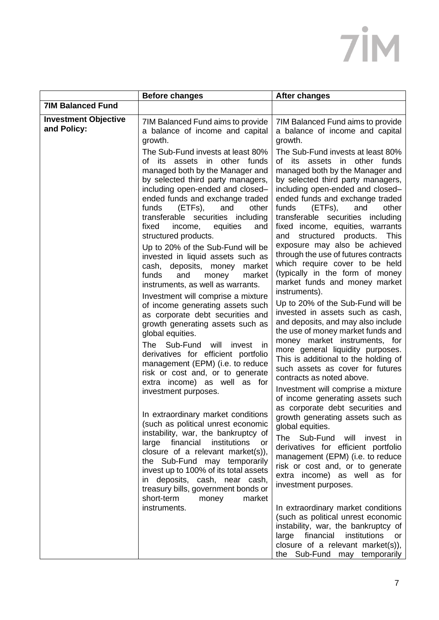|                                            | <b>Before changes</b>                                                                                                                                                                                                                                                                                                                                                                                                                                                                                                                                                                                                                                                                                                                                                                                                                                                                                                                                                                                                                                                                   | <b>After changes</b>                                                                                                                                                                                                                                                                                                                                                                                                                                                                                                                                                                                                                                                                                                                                                                                                                                                                                                                                                                                                                                                                                                                                                                                                                                                     |
|--------------------------------------------|-----------------------------------------------------------------------------------------------------------------------------------------------------------------------------------------------------------------------------------------------------------------------------------------------------------------------------------------------------------------------------------------------------------------------------------------------------------------------------------------------------------------------------------------------------------------------------------------------------------------------------------------------------------------------------------------------------------------------------------------------------------------------------------------------------------------------------------------------------------------------------------------------------------------------------------------------------------------------------------------------------------------------------------------------------------------------------------------|--------------------------------------------------------------------------------------------------------------------------------------------------------------------------------------------------------------------------------------------------------------------------------------------------------------------------------------------------------------------------------------------------------------------------------------------------------------------------------------------------------------------------------------------------------------------------------------------------------------------------------------------------------------------------------------------------------------------------------------------------------------------------------------------------------------------------------------------------------------------------------------------------------------------------------------------------------------------------------------------------------------------------------------------------------------------------------------------------------------------------------------------------------------------------------------------------------------------------------------------------------------------------|
| <b>7IM Balanced Fund</b>                   |                                                                                                                                                                                                                                                                                                                                                                                                                                                                                                                                                                                                                                                                                                                                                                                                                                                                                                                                                                                                                                                                                         |                                                                                                                                                                                                                                                                                                                                                                                                                                                                                                                                                                                                                                                                                                                                                                                                                                                                                                                                                                                                                                                                                                                                                                                                                                                                          |
| <b>Investment Objective</b><br>and Policy: | 7IM Balanced Fund aims to provide<br>a balance of income and capital<br>growth.<br>The Sub-Fund invests at least 80%<br>other funds<br>of its assets<br>in<br>managed both by the Manager and<br>by selected third party managers,<br>including open-ended and closed-<br>ended funds and exchange traded<br>funds<br>(ETFs),<br>and<br>other                                                                                                                                                                                                                                                                                                                                                                                                                                                                                                                                                                                                                                                                                                                                           | 7IM Balanced Fund aims to provide<br>a balance of income and capital<br>growth.<br>The Sub-Fund invests at least 80%<br>other<br>funds<br>of its assets<br>in<br>managed both by the Manager and<br>by selected third party managers,<br>including open-ended and closed-<br>ended funds and exchange traded<br>(ETFs),<br>funds<br>and<br>other                                                                                                                                                                                                                                                                                                                                                                                                                                                                                                                                                                                                                                                                                                                                                                                                                                                                                                                         |
|                                            | transferable securities including<br>equities<br>fixed<br>income,<br>and<br>structured products.<br>Up to 20% of the Sub-Fund will be<br>invested in liquid assets such as<br>market<br>cash,<br>deposits, money<br>and<br>funds<br>market<br>money<br>instruments, as well as warrants.<br>Investment will comprise a mixture<br>of income generating assets such<br>as corporate debt securities and<br>growth generating assets such as<br>global equities.<br>Sub-Fund<br>will<br>The<br>invest<br>-in<br>derivatives for efficient portfolio<br>management (EPM) (i.e. to reduce<br>risk or cost and, or to generate<br>extra income) as well as for<br>investment purposes.<br>In extraordinary market conditions<br>(such as political unrest economic<br>instability, war, the bankruptcy of<br>financial<br>large<br>institutions<br>or<br>closure of a relevant market(s)),<br>the Sub-Fund may temporarily<br>invest up to 100% of its total assets<br>in deposits, cash, near cash,<br>treasury bills, government bonds or<br>short-term<br>market<br>money<br>instruments. | transferable securities including<br>fixed income, equities, warrants<br>structured products.<br>and<br><b>This</b><br>exposure may also be achieved<br>through the use of futures contracts<br>which require cover to be held<br>(typically in the form of money<br>market funds and money market<br>instruments).<br>Up to 20% of the Sub-Fund will be<br>invested in assets such as cash,<br>and deposits, and may also include<br>the use of money market funds and<br>money market instruments, for<br>more general liquidity purposes.<br>This is additional to the holding of<br>such assets as cover for futures<br>contracts as noted above.<br>Investment will comprise a mixture<br>of income generating assets such<br>as corporate debt securities and<br>growth generating assets such as<br>global equities.<br>The<br>Sub-Fund will invest in<br>derivatives for efficient portfolio<br>management (EPM) (i.e. to reduce<br>risk or cost and, or to generate<br>extra income) as well as for<br>investment purposes.<br>In extraordinary market conditions<br>(such as political unrest economic<br>instability, war, the bankruptcy of<br>financial<br>institutions<br>large<br>or<br>closure of a relevant market(s)),<br>the Sub-Fund may temporarily |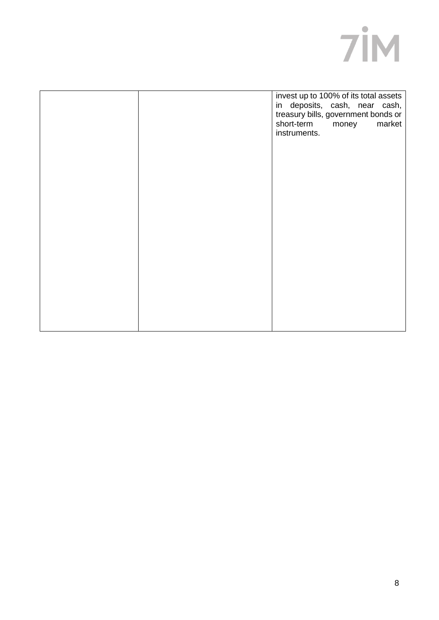

| instruments. | treasury bills, government bonds or<br>short-term money<br>market |
|--------------|-------------------------------------------------------------------|
|              |                                                                   |
|              |                                                                   |
|              |                                                                   |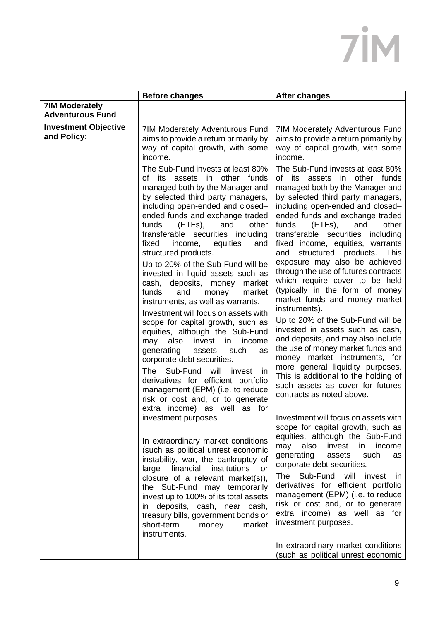|                                                  | <b>Before changes</b>                                                                                                                                                                                                                                                                                                                                                                                                                                                                                                                                                                                                                                                                                                                                                                                                                                                                                                                                                                                                                                                                                                                                                                                                                                                                                                                                                                                                                                                                                                             | <b>After changes</b>                                                                                                                                                                                                                                                                                                                                                                                                                                                                                                                                                                                                                                                                                                                                                                                                                                                                                                                                                                                                                                                                                                                                                                                                                                                                                                                                                                                                                                                                                                                                                  |
|--------------------------------------------------|-----------------------------------------------------------------------------------------------------------------------------------------------------------------------------------------------------------------------------------------------------------------------------------------------------------------------------------------------------------------------------------------------------------------------------------------------------------------------------------------------------------------------------------------------------------------------------------------------------------------------------------------------------------------------------------------------------------------------------------------------------------------------------------------------------------------------------------------------------------------------------------------------------------------------------------------------------------------------------------------------------------------------------------------------------------------------------------------------------------------------------------------------------------------------------------------------------------------------------------------------------------------------------------------------------------------------------------------------------------------------------------------------------------------------------------------------------------------------------------------------------------------------------------|-----------------------------------------------------------------------------------------------------------------------------------------------------------------------------------------------------------------------------------------------------------------------------------------------------------------------------------------------------------------------------------------------------------------------------------------------------------------------------------------------------------------------------------------------------------------------------------------------------------------------------------------------------------------------------------------------------------------------------------------------------------------------------------------------------------------------------------------------------------------------------------------------------------------------------------------------------------------------------------------------------------------------------------------------------------------------------------------------------------------------------------------------------------------------------------------------------------------------------------------------------------------------------------------------------------------------------------------------------------------------------------------------------------------------------------------------------------------------------------------------------------------------------------------------------------------------|
| <b>7IM Moderately</b><br><b>Adventurous Fund</b> |                                                                                                                                                                                                                                                                                                                                                                                                                                                                                                                                                                                                                                                                                                                                                                                                                                                                                                                                                                                                                                                                                                                                                                                                                                                                                                                                                                                                                                                                                                                                   |                                                                                                                                                                                                                                                                                                                                                                                                                                                                                                                                                                                                                                                                                                                                                                                                                                                                                                                                                                                                                                                                                                                                                                                                                                                                                                                                                                                                                                                                                                                                                                       |
| <b>Investment Objective</b><br>and Policy:       | 7IM Moderately Adventurous Fund<br>aims to provide a return primarily by<br>way of capital growth, with some<br>income.<br>The Sub-Fund invests at least 80%<br>of its assets in other funds<br>managed both by the Manager and<br>by selected third party managers,<br>including open-ended and closed-<br>ended funds and exchange traded<br>funds<br>(ETFs),<br>and<br>other<br>transferable securities including<br>fixed<br>equities<br>income,<br>and<br>structured products.<br>Up to 20% of the Sub-Fund will be<br>invested in liquid assets such as<br>cash, deposits, money<br>market<br>funds<br>and<br>money<br>market<br>instruments, as well as warrants.<br>Investment will focus on assets with<br>scope for capital growth, such as<br>equities, although the Sub-Fund<br>invest<br>may<br>also<br>income<br>in<br>generating<br>assets<br>such<br>as<br>corporate debt securities.<br>Sub-Fund<br><b>The</b><br>will<br>invest<br>in<br>derivatives for efficient portfolio<br>management (EPM) (i.e. to reduce<br>risk or cost and, or to generate<br>extra income) as well as for<br>investment purposes.<br>In extraordinary market conditions<br>(such as political unrest economic<br>instability, war, the bankruptcy of<br>large financial<br>institutions<br>or<br>closure of a relevant market(s)),<br>the Sub-Fund may temporarily<br>invest up to 100% of its total assets<br>in deposits, cash, near cash,<br>treasury bills, government bonds or<br>short-term<br>money<br>market<br>instruments. | 7IM Moderately Adventurous Fund<br>aims to provide a return primarily by<br>way of capital growth, with some<br>income.<br>The Sub-Fund invests at least 80%<br>of its assets in other funds<br>managed both by the Manager and<br>by selected third party managers,<br>including open-ended and closed-<br>ended funds and exchange traded<br>funds<br>other<br>(ETFs),<br>and<br>transferable securities<br>including<br>fixed income, equities, warrants<br>structured products.<br>and<br>This<br>exposure may also be achieved<br>through the use of futures contracts<br>which require cover to be held<br>(typically in the form of money<br>market funds and money market<br>instruments).<br>Up to 20% of the Sub-Fund will be<br>invested in assets such as cash,<br>and deposits, and may also include<br>the use of money market funds and<br>money market instruments, for<br>more general liquidity purposes.<br>This is additional to the holding of<br>such assets as cover for futures<br>contracts as noted above.<br>Investment will focus on assets with<br>scope for capital growth, such as<br>equities, although the Sub-Fund<br>may<br>also<br>invest<br>in.<br>income<br>generating<br>assets<br>such<br>as<br>corporate debt securities.<br>The Sub-Fund will<br>invest<br><sub>In</sub><br>derivatives for efficient portfolio<br>management (EPM) (i.e. to reduce<br>risk or cost and, or to generate<br>extra income) as well as for<br>investment purposes.<br>In extraordinary market conditions<br>(such as political unrest economic |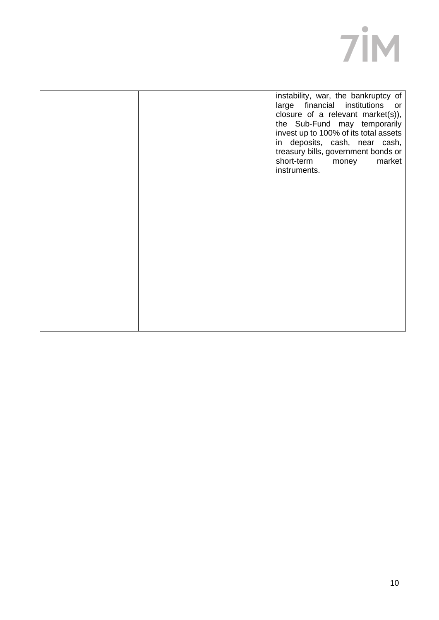|  | instability, war, the bankruptcy of<br>large financial institutions or<br>closure of a relevant market(s)),<br>the Sub-Fund may temporarily<br>invest up to 100% of its total assets<br>in deposits, cash, near cash,<br>treasury bills, government bonds or<br>short-term<br>market<br>money<br>instruments. |
|--|---------------------------------------------------------------------------------------------------------------------------------------------------------------------------------------------------------------------------------------------------------------------------------------------------------------|
|  |                                                                                                                                                                                                                                                                                                               |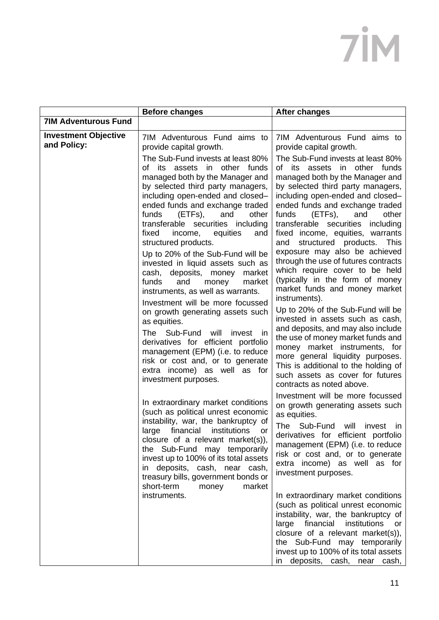|                                            | <b>Before changes</b>                                                                                                                                                                                                                                                                                                                                                                                                                                                                                                                                                                                             | <b>After changes</b>                                                                                                                                                                                                                                                                                                                                                                                                                                                                                                                                                                                                    |
|--------------------------------------------|-------------------------------------------------------------------------------------------------------------------------------------------------------------------------------------------------------------------------------------------------------------------------------------------------------------------------------------------------------------------------------------------------------------------------------------------------------------------------------------------------------------------------------------------------------------------------------------------------------------------|-------------------------------------------------------------------------------------------------------------------------------------------------------------------------------------------------------------------------------------------------------------------------------------------------------------------------------------------------------------------------------------------------------------------------------------------------------------------------------------------------------------------------------------------------------------------------------------------------------------------------|
| <b>7IM Adventurous Fund</b>                |                                                                                                                                                                                                                                                                                                                                                                                                                                                                                                                                                                                                                   |                                                                                                                                                                                                                                                                                                                                                                                                                                                                                                                                                                                                                         |
| <b>Investment Objective</b><br>and Policy: | 7IM Adventurous Fund aims to<br>provide capital growth.<br>The Sub-Fund invests at least 80%<br>other funds<br>of its assets<br>in<br>managed both by the Manager and<br>by selected third party managers,<br>including open-ended and closed-<br>ended funds and exchange traded<br>(ETFs),<br>funds<br>and<br>other<br>transferable securities including<br>equities<br>fixed<br>income,<br>and<br>structured products.<br>Up to 20% of the Sub-Fund will be<br>invested in liquid assets such as<br>cash, deposits,<br>money<br>market<br>and<br>funds<br>money<br>market<br>instruments, as well as warrants. | 7IM Adventurous Fund aims to<br>provide capital growth.<br>The Sub-Fund invests at least 80%<br>other<br>funds<br>of its assets<br>in<br>managed both by the Manager and<br>by selected third party managers,<br>including open-ended and closed-<br>ended funds and exchange traded<br>funds<br>(ETFs),<br>other<br>and<br>transferable securities<br>including<br>fixed income, equities, warrants<br>structured products. This<br>and<br>exposure may also be achieved<br>through the use of futures contracts<br>which require cover to be held<br>(typically in the form of money<br>market funds and money market |
|                                            | Investment will be more focussed<br>on growth generating assets such<br>as equities.<br>The Sub-Fund<br>will<br>invest in<br>derivatives for efficient portfolio<br>management (EPM) (i.e. to reduce<br>risk or cost and, or to generate<br>extra income) as well as for<br>investment purposes.<br>In extraordinary market conditions                                                                                                                                                                                                                                                                            | instruments).<br>Up to 20% of the Sub-Fund will be<br>invested in assets such as cash,<br>and deposits, and may also include<br>the use of money market funds and<br>money market instruments, for<br>more general liquidity purposes.<br>This is additional to the holding of<br>such assets as cover for futures<br>contracts as noted above.<br>Investment will be more focussed                                                                                                                                                                                                                                     |
|                                            | (such as political unrest economic<br>instability, war, the bankruptcy of<br>institutions<br>financial<br>large<br>or<br>closure of a relevant market(s)),<br>the Sub-Fund may temporarily<br>invest up to 100% of its total assets<br>in deposits, cash, near cash,<br>treasury bills, government bonds or<br>short-term<br>money<br>market<br>instruments.                                                                                                                                                                                                                                                      | on growth generating assets such<br>as equities.<br>The Sub-Fund will<br>invest<br>- IN<br>derivatives for efficient portfolio<br>management (EPM) (i.e. to reduce<br>risk or cost and, or to generate<br>extra income) as well as for<br>investment purposes.<br>In extraordinary market conditions<br>(such as political unrest economic<br>instability, war, the bankruptcy of<br>financial<br>institutions<br>large<br>or<br>closure of a relevant market(s)),<br>the Sub-Fund may temporarily<br>invest up to 100% of its total assets<br>in deposits, cash, near cash,                                            |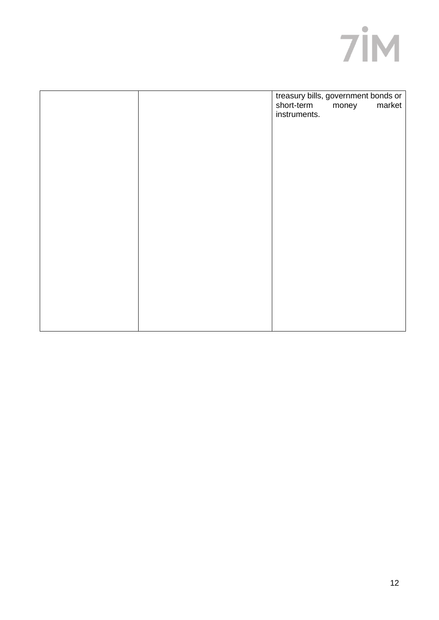

|  | treasury bills, government bonds or<br>market<br>short-term money<br>instruments. |
|--|-----------------------------------------------------------------------------------|
|  |                                                                                   |
|  |                                                                                   |
|  |                                                                                   |
|  |                                                                                   |
|  |                                                                                   |
|  |                                                                                   |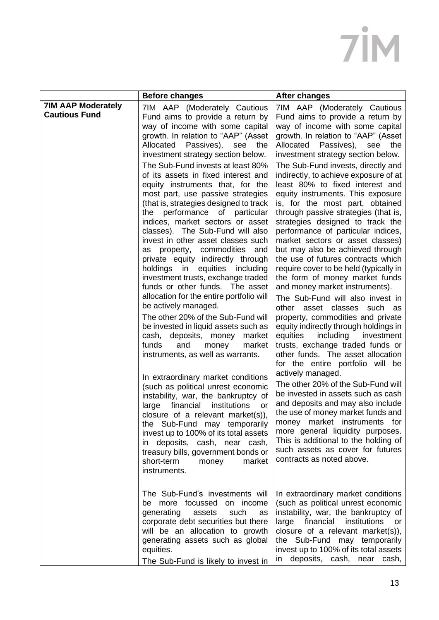|                                                   | <b>Before changes</b>                                                                                                                                                                                                                                                                                                                                                                                                                                                                                                                                                                                                                                                                                                                                                                                                                                                                                                                                                                                                                                                                                                                                                                                                                                                                                                                                                                                                                          | <b>After changes</b>                                                                                                                                                                                                                                                                                                                                                                                                                                                                                                                                                                                                                                                                                                                                                                                                                                                                                                                                                                                                                                                                                                                                                                                                                                                                                                                                                                                                        |
|---------------------------------------------------|------------------------------------------------------------------------------------------------------------------------------------------------------------------------------------------------------------------------------------------------------------------------------------------------------------------------------------------------------------------------------------------------------------------------------------------------------------------------------------------------------------------------------------------------------------------------------------------------------------------------------------------------------------------------------------------------------------------------------------------------------------------------------------------------------------------------------------------------------------------------------------------------------------------------------------------------------------------------------------------------------------------------------------------------------------------------------------------------------------------------------------------------------------------------------------------------------------------------------------------------------------------------------------------------------------------------------------------------------------------------------------------------------------------------------------------------|-----------------------------------------------------------------------------------------------------------------------------------------------------------------------------------------------------------------------------------------------------------------------------------------------------------------------------------------------------------------------------------------------------------------------------------------------------------------------------------------------------------------------------------------------------------------------------------------------------------------------------------------------------------------------------------------------------------------------------------------------------------------------------------------------------------------------------------------------------------------------------------------------------------------------------------------------------------------------------------------------------------------------------------------------------------------------------------------------------------------------------------------------------------------------------------------------------------------------------------------------------------------------------------------------------------------------------------------------------------------------------------------------------------------------------|
| <b>7IM AAP Moderately</b><br><b>Cautious Fund</b> | 7IM AAP (Moderately Cautious<br>Fund aims to provide a return by<br>way of income with some capital<br>growth. In relation to "AAP" (Asset<br>Passives), see the<br>Allocated<br>investment strategy section below.<br>The Sub-Fund invests at least 80%<br>of its assets in fixed interest and<br>equity instruments that, for the<br>most part, use passive strategies<br>(that is, strategies designed to track<br>the performance of particular<br>indices, market sectors or asset<br>classes). The Sub-Fund will also<br>invest in other asset classes such<br>commodities<br>property,<br>and<br>as<br>private equity indirectly through<br>holdings<br>in<br>equities<br>including<br>investment trusts, exchange traded<br>funds or other funds. The asset<br>allocation for the entire portfolio will<br>be actively managed.<br>The other 20% of the Sub-Fund will<br>be invested in liquid assets such as<br>cash, deposits, money market<br>funds<br>and<br>market<br>money<br>instruments, as well as warrants.<br>In extraordinary market conditions<br>(such as political unrest economic<br>instability, war, the bankruptcy of<br>institutions<br>financial<br>large<br><b>or</b><br>closure of a relevant market $(s)$ ),<br>the Sub-Fund may temporarily<br>invest up to 100% of its total assets<br>in deposits, cash, near cash,<br>treasury bills, government bonds or<br>short-term<br>money<br>market<br>instruments. | 7IM AAP (Moderately Cautious<br>Fund aims to provide a return by<br>way of income with some capital<br>growth. In relation to "AAP" (Asset<br>Passives), see the<br>Allocated<br>investment strategy section below.<br>The Sub-Fund invests, directly and<br>indirectly, to achieve exposure of at<br>least 80% to fixed interest and<br>equity instruments. This exposure<br>is, for the most part, obtained<br>through passive strategies (that is,<br>strategies designed to track the<br>performance of particular indices,<br>market sectors or asset classes)<br>but may also be achieved through<br>the use of futures contracts which<br>require cover to be held (typically in<br>the form of money market funds<br>and money market instruments).<br>The Sub-Fund will also invest in<br>other asset classes<br>such as<br>property, commodities and private<br>equity indirectly through holdings in<br>including<br>investment<br>equities<br>trusts, exchange traded funds or<br>other funds. The asset allocation<br>for the entire portfolio will be<br>actively managed.<br>The other 20% of the Sub-Fund will<br>be invested in assets such as cash<br>and deposits and may also include<br>the use of money market funds and<br>money market instruments for<br>more general liquidity purposes.<br>This is additional to the holding of<br>such assets as cover for futures<br>contracts as noted above. |
|                                                   | The Sub-Fund's investments will<br>be more focussed on income<br>generating<br>assets<br>such<br>as<br>corporate debt securities but there<br>will be an allocation to growth<br>generating assets such as global<br>equities.<br>The Sub-Fund is likely to invest in                                                                                                                                                                                                                                                                                                                                                                                                                                                                                                                                                                                                                                                                                                                                                                                                                                                                                                                                                                                                                                                                                                                                                                          | In extraordinary market conditions<br>(such as political unrest economic<br>instability, war, the bankruptcy of<br>large financial institutions<br>or<br>closure of a relevant market(s)),<br>the Sub-Fund may temporarily<br>invest up to 100% of its total assets<br>in deposits, cash, near cash,                                                                                                                                                                                                                                                                                                                                                                                                                                                                                                                                                                                                                                                                                                                                                                                                                                                                                                                                                                                                                                                                                                                        |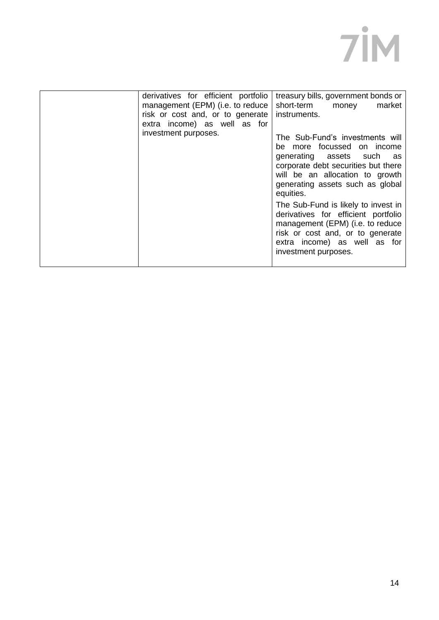| derivatives for efficient portfolio<br>management (EPM) (i.e. to reduce<br>risk or cost and, or to generate<br>extra income) as well as for<br>investment purposes.<br>management (EPM) (i.e. to reduce<br>risk or cost and, or to generate | treasury bills, government bonds or<br>short-term<br>market<br>money<br>instruments.<br>The Sub-Fund's investments will<br>be more focussed on income<br>generating assets such<br>as<br>corporate debt securities but there<br>will be an allocation to growth<br>generating assets such as global<br>equities.<br>The Sub-Fund is likely to invest in<br>derivatives for efficient portfolio |
|---------------------------------------------------------------------------------------------------------------------------------------------------------------------------------------------------------------------------------------------|------------------------------------------------------------------------------------------------------------------------------------------------------------------------------------------------------------------------------------------------------------------------------------------------------------------------------------------------------------------------------------------------|
|---------------------------------------------------------------------------------------------------------------------------------------------------------------------------------------------------------------------------------------------|------------------------------------------------------------------------------------------------------------------------------------------------------------------------------------------------------------------------------------------------------------------------------------------------------------------------------------------------------------------------------------------------|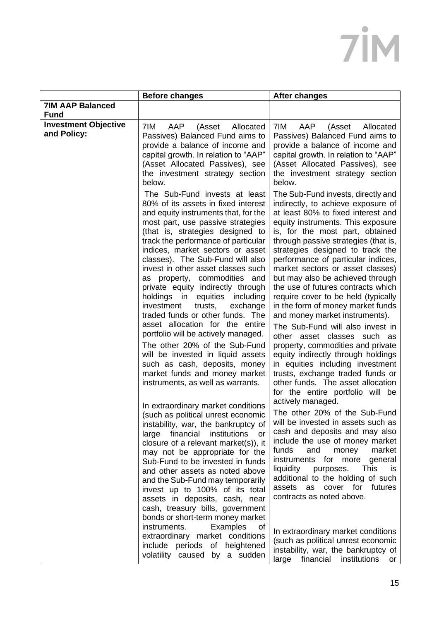|                                            | <b>Before changes</b>                                                                                                                                                                                                                                                                                                                                                                                                                                                                                                                                                                                                                                                                                                                                                                | <b>After changes</b>                                                                                                                                                                                                                                                                                                                                                                                                                                                                                                                                                                                                                                                                                                                                                                                                                      |
|--------------------------------------------|--------------------------------------------------------------------------------------------------------------------------------------------------------------------------------------------------------------------------------------------------------------------------------------------------------------------------------------------------------------------------------------------------------------------------------------------------------------------------------------------------------------------------------------------------------------------------------------------------------------------------------------------------------------------------------------------------------------------------------------------------------------------------------------|-------------------------------------------------------------------------------------------------------------------------------------------------------------------------------------------------------------------------------------------------------------------------------------------------------------------------------------------------------------------------------------------------------------------------------------------------------------------------------------------------------------------------------------------------------------------------------------------------------------------------------------------------------------------------------------------------------------------------------------------------------------------------------------------------------------------------------------------|
| <b>7IM AAP Balanced</b><br><b>Fund</b>     |                                                                                                                                                                                                                                                                                                                                                                                                                                                                                                                                                                                                                                                                                                                                                                                      |                                                                                                                                                                                                                                                                                                                                                                                                                                                                                                                                                                                                                                                                                                                                                                                                                                           |
| <b>Investment Objective</b><br>and Policy: | 7IM<br>AAP<br>(Asset<br>Allocated<br>Passives) Balanced Fund aims to<br>provide a balance of income and<br>capital growth. In relation to "AAP"<br>(Asset Allocated Passives), see<br>the investment strategy section<br>below.                                                                                                                                                                                                                                                                                                                                                                                                                                                                                                                                                      | 7IM<br>AAP<br>(Asset<br>Allocated<br>Passives) Balanced Fund aims to<br>provide a balance of income and<br>capital growth. In relation to "AAP"<br>(Asset Allocated Passives), see<br>the investment strategy section<br>below.                                                                                                                                                                                                                                                                                                                                                                                                                                                                                                                                                                                                           |
|                                            | The Sub-Fund invests at least<br>80% of its assets in fixed interest<br>and equity instruments that, for the<br>most part, use passive strategies<br>(that is, strategies designed to<br>track the performance of particular<br>indices, market sectors or asset<br>classes). The Sub-Fund will also<br>invest in other asset classes such<br>as property, commodities and<br>private equity indirectly through<br>holdings in equities<br>including<br>investment<br>trusts,<br>exchange<br>traded funds or other funds. The<br>asset allocation for the entire<br>portfolio will be actively managed.<br>The other 20% of the Sub-Fund<br>will be invested in liquid assets<br>such as cash, deposits, money<br>market funds and money market<br>instruments, as well as warrants. | The Sub-Fund invests, directly and<br>indirectly, to achieve exposure of<br>at least 80% to fixed interest and<br>equity instruments. This exposure<br>is, for the most part, obtained<br>through passive strategies (that is,<br>strategies designed to track the<br>performance of particular indices,<br>market sectors or asset classes)<br>but may also be achieved through<br>the use of futures contracts which<br>require cover to be held (typically<br>in the form of money market funds<br>and money market instruments).<br>The Sub-Fund will also invest in<br>other<br>asset classes<br>such as<br>property, commodities and private<br>equity indirectly through holdings<br>in equities including investment<br>trusts, exchange traded funds or<br>other funds. The asset allocation<br>for the entire portfolio will be |
|                                            | In extraordinary market conditions<br>(such as political unrest economic<br>instability, war, the bankruptcy of<br>large<br>financial institutions<br>or<br>closure of a relevant market(s)), it<br>may not be appropriate for the<br>Sub-Fund to be invested in funds<br>and other assets as noted above<br>and the Sub-Fund may temporarily<br>invest up to 100% of its total<br>assets in deposits, cash, near<br>cash, treasury bills, government<br>bonds or short-term money market<br>instruments.<br>Examples<br>0f<br>extraordinary market conditions<br>include periods of heightened<br>volatility caused by a sudden                                                                                                                                                     | actively managed.<br>The other 20% of the Sub-Fund<br>will be invested in assets such as<br>cash and deposits and may also<br>include the use of money market<br>and<br>market<br>funds<br>money<br>instruments for more<br>general<br><b>This</b><br>liquidity<br>purposes.<br><b>IS</b><br>additional to the holding of such<br>cover for futures<br>assets<br>as<br>contracts as noted above.<br>In extraordinary market conditions<br>(such as political unrest economic<br>instability, war, the bankruptcy of<br>large financial<br>institutions<br>or                                                                                                                                                                                                                                                                              |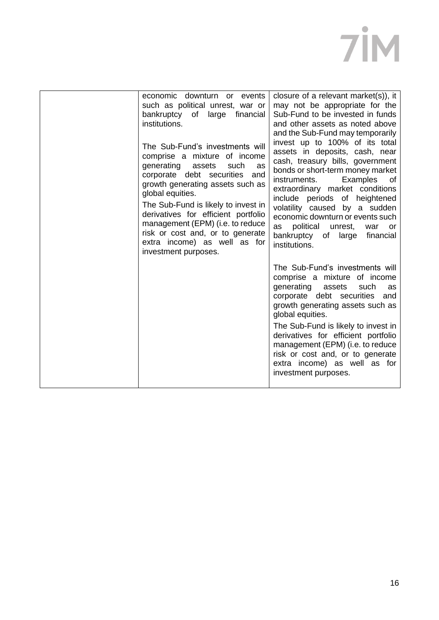| economic downturn or events<br>such as political unrest, war or<br>bankruptcy of large<br>financial<br>institutions.<br>The Sub-Fund's investments will<br>comprise a mixture of income<br>generating<br>assets<br>such<br>as<br>corporate debt securities and<br>growth generating assets such as<br>global equities.<br>The Sub-Fund is likely to invest in<br>derivatives for efficient portfolio<br>management (EPM) (i.e. to reduce<br>risk or cost and, or to generate<br>extra income) as well as for<br>investment purposes. | closure of a relevant market(s)), it<br>may not be appropriate for the<br>Sub-Fund to be invested in funds<br>and other assets as noted above<br>and the Sub-Fund may temporarily<br>invest up to 100% of its total<br>assets in deposits, cash, near<br>cash, treasury bills, government<br>bonds or short-term money market<br>instruments.<br>Examples<br>0f<br>extraordinary market conditions<br>include periods of heightened<br>volatility caused by a sudden<br>economic downturn or events such<br>political unrest,<br>as<br>war<br>or<br>bankruptcy<br>of large<br>financial<br>institutions. |
|--------------------------------------------------------------------------------------------------------------------------------------------------------------------------------------------------------------------------------------------------------------------------------------------------------------------------------------------------------------------------------------------------------------------------------------------------------------------------------------------------------------------------------------|----------------------------------------------------------------------------------------------------------------------------------------------------------------------------------------------------------------------------------------------------------------------------------------------------------------------------------------------------------------------------------------------------------------------------------------------------------------------------------------------------------------------------------------------------------------------------------------------------------|
|                                                                                                                                                                                                                                                                                                                                                                                                                                                                                                                                      | The Sub-Fund's investments will<br>comprise a mixture of income<br>generating<br>assets<br>such<br>as<br>corporate debt securities<br>and<br>growth generating assets such as<br>global equities.<br>The Sub-Fund is likely to invest in<br>derivatives for efficient portfolio<br>management (EPM) (i.e. to reduce<br>risk or cost and, or to generate<br>extra income) as well as for<br>investment purposes.                                                                                                                                                                                          |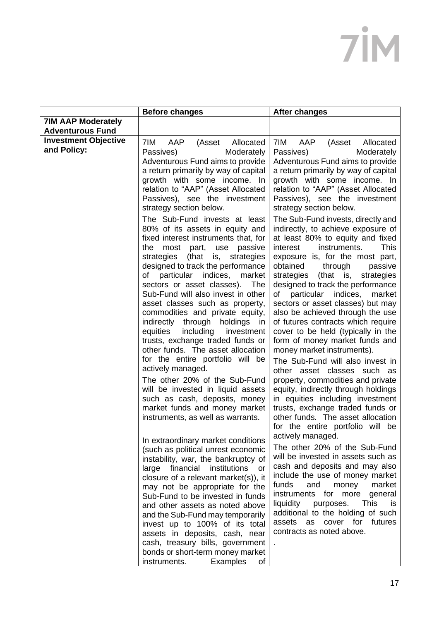|                                            | <b>Before changes</b>                                                                                                                                                                                                                                                                                                                                                                                                                                                                                                                                                                                                                                                                                                                                                                                                                                                                                                                                                                                                                                                                                                                                                                                               | <b>After changes</b>                                                                                                                                                                                                                                                                                                                                                                                                                                                                                                                                                                                                                                                                                                                                                                                                                                                                                                                                                                                                                                                                                                                                                                                                                                                           |
|--------------------------------------------|---------------------------------------------------------------------------------------------------------------------------------------------------------------------------------------------------------------------------------------------------------------------------------------------------------------------------------------------------------------------------------------------------------------------------------------------------------------------------------------------------------------------------------------------------------------------------------------------------------------------------------------------------------------------------------------------------------------------------------------------------------------------------------------------------------------------------------------------------------------------------------------------------------------------------------------------------------------------------------------------------------------------------------------------------------------------------------------------------------------------------------------------------------------------------------------------------------------------|--------------------------------------------------------------------------------------------------------------------------------------------------------------------------------------------------------------------------------------------------------------------------------------------------------------------------------------------------------------------------------------------------------------------------------------------------------------------------------------------------------------------------------------------------------------------------------------------------------------------------------------------------------------------------------------------------------------------------------------------------------------------------------------------------------------------------------------------------------------------------------------------------------------------------------------------------------------------------------------------------------------------------------------------------------------------------------------------------------------------------------------------------------------------------------------------------------------------------------------------------------------------------------|
| <b>7IM AAP Moderately</b>                  |                                                                                                                                                                                                                                                                                                                                                                                                                                                                                                                                                                                                                                                                                                                                                                                                                                                                                                                                                                                                                                                                                                                                                                                                                     |                                                                                                                                                                                                                                                                                                                                                                                                                                                                                                                                                                                                                                                                                                                                                                                                                                                                                                                                                                                                                                                                                                                                                                                                                                                                                |
| <b>Adventurous Fund</b>                    |                                                                                                                                                                                                                                                                                                                                                                                                                                                                                                                                                                                                                                                                                                                                                                                                                                                                                                                                                                                                                                                                                                                                                                                                                     |                                                                                                                                                                                                                                                                                                                                                                                                                                                                                                                                                                                                                                                                                                                                                                                                                                                                                                                                                                                                                                                                                                                                                                                                                                                                                |
| <b>Investment Objective</b><br>and Policy: | 7IM<br>AAP<br>(Asset<br>Allocated<br>Passives)<br>Moderately<br>Adventurous Fund aims to provide<br>a return primarily by way of capital<br>growth with some income. In<br>relation to "AAP" (Asset Allocated<br>Passives), see the investment<br>strategy section below.<br>The Sub-Fund invests at least<br>80% of its assets in equity and<br>fixed interest instruments that, for<br>the<br>most<br>part,<br>passive<br>use<br>strategies<br>(that is,<br>strategies<br>designed to track the performance<br>particular<br>indices,<br>of<br>market<br>sectors or asset classes).<br>The<br>Sub-Fund will also invest in other<br>asset classes such as property,<br>commodities and private equity,<br>indirectly through holdings<br>ın<br>including investment<br>equities<br>trusts, exchange traded funds or<br>other funds. The asset allocation<br>for the entire portfolio will be<br>actively managed.<br>The other 20% of the Sub-Fund<br>will be invested in liquid assets<br>such as cash, deposits, money<br>market funds and money market<br>instruments, as well as warrants.<br>In extraordinary market conditions<br>(such as political unrest economic<br>instability, war, the bankruptcy of | 7IM<br>AAP<br>(Asset<br>Allocated<br>Passives)<br>Moderately<br>Adventurous Fund aims to provide<br>a return primarily by way of capital<br>growth with some income. In<br>relation to "AAP" (Asset Allocated<br>Passives), see the investment<br>strategy section below.<br>The Sub-Fund invests, directly and<br>indirectly, to achieve exposure of<br>at least 80% to equity and fixed<br>interest<br><b>This</b><br>instruments.<br>exposure is, for the most part,<br>obtained<br>passive<br>through<br>(that is,<br>strategies<br>strategies<br>designed to track the performance<br>of particular indices, market<br>sectors or asset classes) but may<br>also be achieved through the use<br>of futures contracts which require<br>cover to be held (typically in the<br>form of money market funds and<br>money market instruments).<br>The Sub-Fund will also invest in<br>other asset classes such<br>as<br>property, commodities and private<br>equity, indirectly through holdings<br>in equities including investment<br>trusts, exchange traded funds or<br>other funds. The asset allocation<br>for the entire portfolio will be<br>actively managed.<br>The other 20% of the Sub-Fund<br>will be invested in assets such as<br>cash and deposits and may also |
|                                            | financial institutions<br>large<br>or<br>closure of a relevant market(s)), it                                                                                                                                                                                                                                                                                                                                                                                                                                                                                                                                                                                                                                                                                                                                                                                                                                                                                                                                                                                                                                                                                                                                       | include the use of money market<br>funds<br>and<br>market<br>money                                                                                                                                                                                                                                                                                                                                                                                                                                                                                                                                                                                                                                                                                                                                                                                                                                                                                                                                                                                                                                                                                                                                                                                                             |
|                                            | may not be appropriate for the<br>Sub-Fund to be invested in funds<br>and other assets as noted above<br>and the Sub-Fund may temporarily<br>invest up to 100% of its total<br>assets in deposits, cash, near<br>cash, treasury bills, government                                                                                                                                                                                                                                                                                                                                                                                                                                                                                                                                                                                                                                                                                                                                                                                                                                                                                                                                                                   | for<br>more<br>instruments<br>general<br>liquidity<br>This<br>purposes.<br>is.<br>additional to the holding of such<br>cover for futures<br>assets<br>as<br>contracts as noted above.                                                                                                                                                                                                                                                                                                                                                                                                                                                                                                                                                                                                                                                                                                                                                                                                                                                                                                                                                                                                                                                                                          |
|                                            | bonds or short-term money market<br>instruments.<br><b>Examples</b><br>of                                                                                                                                                                                                                                                                                                                                                                                                                                                                                                                                                                                                                                                                                                                                                                                                                                                                                                                                                                                                                                                                                                                                           |                                                                                                                                                                                                                                                                                                                                                                                                                                                                                                                                                                                                                                                                                                                                                                                                                                                                                                                                                                                                                                                                                                                                                                                                                                                                                |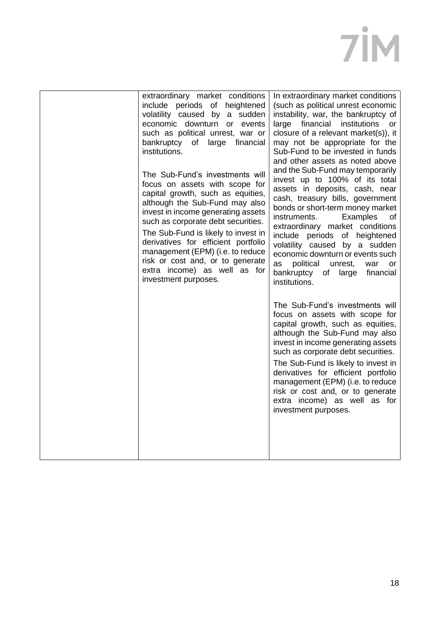| extraordinary market conditions<br>include periods of heightened<br>volatility caused by a sudden<br>economic downturn or events<br>such as political unrest, war or<br>bankruptcy of large financial<br>institutions.<br>The Sub-Fund's investments will<br>focus on assets with scope for<br>capital growth, such as equities,<br>although the Sub-Fund may also<br>invest in income generating assets<br>such as corporate debt securities.<br>The Sub-Fund is likely to invest in<br>derivatives for efficient portfolio<br>management (EPM) (i.e. to reduce<br>risk or cost and, or to generate<br>extra income) as well as for<br>investment purposes. | In extraordinary market conditions<br>(such as political unrest economic<br>instability, war, the bankruptcy of<br>large financial institutions<br>or<br>closure of a relevant market(s)), it<br>may not be appropriate for the<br>Sub-Fund to be invested in funds<br>and other assets as noted above<br>and the Sub-Fund may temporarily<br>invest up to 100% of its total<br>assets in deposits, cash, near<br>cash, treasury bills, government<br>bonds or short-term money market<br>Examples<br>instruments.<br>οf<br>extraordinary market conditions<br>include periods of heightened<br>volatility caused by a sudden<br>economic downturn or events such<br>as<br>political<br>unrest,<br>war<br>or<br>bankruptcy<br>of<br>large<br>financial<br>institutions. |
|--------------------------------------------------------------------------------------------------------------------------------------------------------------------------------------------------------------------------------------------------------------------------------------------------------------------------------------------------------------------------------------------------------------------------------------------------------------------------------------------------------------------------------------------------------------------------------------------------------------------------------------------------------------|-------------------------------------------------------------------------------------------------------------------------------------------------------------------------------------------------------------------------------------------------------------------------------------------------------------------------------------------------------------------------------------------------------------------------------------------------------------------------------------------------------------------------------------------------------------------------------------------------------------------------------------------------------------------------------------------------------------------------------------------------------------------------|
|                                                                                                                                                                                                                                                                                                                                                                                                                                                                                                                                                                                                                                                              | The Sub-Fund's investments will<br>focus on assets with scope for<br>capital growth, such as equities,<br>although the Sub-Fund may also<br>invest in income generating assets<br>such as corporate debt securities.<br>The Sub-Fund is likely to invest in<br>derivatives for efficient portfolio<br>management (EPM) (i.e. to reduce<br>risk or cost and, or to generate<br>extra income) as well as for<br>investment purposes.                                                                                                                                                                                                                                                                                                                                      |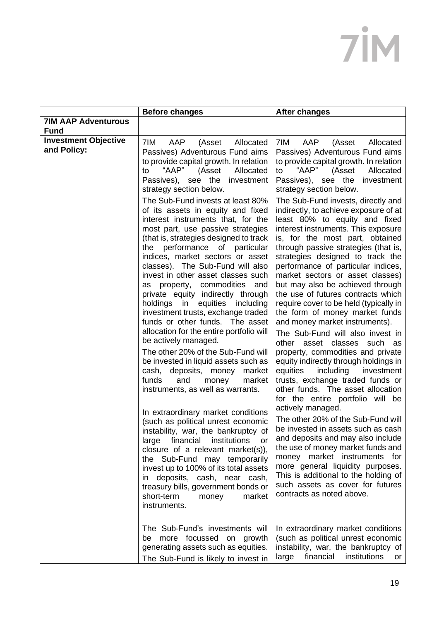| 7IM<br>AAP<br>(Asset<br>Allocated<br>Passives) Adventurous Fund aims<br>to provide capital growth. In relation<br>"AAP"<br>Allocated<br>to<br>(Asset<br>Passives), see the<br>investment<br>strategy section below.<br>The Sub-Fund invests at least 80%                                                                                                                                                                                                                                                                                                                                                                                                                                                                                                                                                                                                                                                                                                                                                                                                                                                         | AAP<br>7IM<br>(Asset<br>Allocated<br>Passives) Adventurous Fund aims<br>to provide capital growth. In relation<br>"AAP"<br>to<br>(Asset<br>Allocated<br>Passives), see the<br>investment<br>strategy section below.                                                                                                                                                                                                                                                                                                                                                                                                                                                                                                                                                                                                                                                                                                                                                                                                                                                                                                                                                                                  |
|------------------------------------------------------------------------------------------------------------------------------------------------------------------------------------------------------------------------------------------------------------------------------------------------------------------------------------------------------------------------------------------------------------------------------------------------------------------------------------------------------------------------------------------------------------------------------------------------------------------------------------------------------------------------------------------------------------------------------------------------------------------------------------------------------------------------------------------------------------------------------------------------------------------------------------------------------------------------------------------------------------------------------------------------------------------------------------------------------------------|------------------------------------------------------------------------------------------------------------------------------------------------------------------------------------------------------------------------------------------------------------------------------------------------------------------------------------------------------------------------------------------------------------------------------------------------------------------------------------------------------------------------------------------------------------------------------------------------------------------------------------------------------------------------------------------------------------------------------------------------------------------------------------------------------------------------------------------------------------------------------------------------------------------------------------------------------------------------------------------------------------------------------------------------------------------------------------------------------------------------------------------------------------------------------------------------------|
|                                                                                                                                                                                                                                                                                                                                                                                                                                                                                                                                                                                                                                                                                                                                                                                                                                                                                                                                                                                                                                                                                                                  |                                                                                                                                                                                                                                                                                                                                                                                                                                                                                                                                                                                                                                                                                                                                                                                                                                                                                                                                                                                                                                                                                                                                                                                                      |
|                                                                                                                                                                                                                                                                                                                                                                                                                                                                                                                                                                                                                                                                                                                                                                                                                                                                                                                                                                                                                                                                                                                  |                                                                                                                                                                                                                                                                                                                                                                                                                                                                                                                                                                                                                                                                                                                                                                                                                                                                                                                                                                                                                                                                                                                                                                                                      |
| of its assets in equity and fixed<br>interest instruments that, for the<br>most part, use passive strategies<br>(that is, strategies designed to track<br>the performance of<br>particular<br>indices, market sectors or asset<br>classes). The Sub-Fund will also<br>invest in other asset classes such<br>as property, commodities and<br>private equity indirectly through<br>in equities including<br>holdings<br>investment trusts, exchange traded<br>funds or other funds. The asset<br>allocation for the entire portfolio will<br>be actively managed.<br>The other 20% of the Sub-Fund will<br>be invested in liquid assets such as<br>deposits, money<br>market<br>cash,<br>funds<br>and<br>market<br>money<br>instruments, as well as warrants.<br>In extraordinary market conditions<br>(such as political unrest economic<br>instability, war, the bankruptcy of<br>financial<br>institutions<br>large<br>or<br>closure of a relevant market(s)),<br>the Sub-Fund may temporarily<br>invest up to 100% of its total assets<br>in deposits, cash, near cash,<br>treasury bills, government bonds or | The Sub-Fund invests, directly and<br>indirectly, to achieve exposure of at<br>least 80% to equity and fixed<br>interest instruments. This exposure<br>is, for the most part, obtained<br>through passive strategies (that is,<br>strategies designed to track the<br>performance of particular indices,<br>market sectors or asset classes)<br>but may also be achieved through<br>the use of futures contracts which<br>require cover to be held (typically in<br>the form of money market funds<br>and money market instruments).<br>The Sub-Fund will also invest in<br>other asset classes<br>such as<br>property, commodities and private<br>equity indirectly through holdings in<br>including<br>equities<br>investment<br>trusts, exchange traded funds or<br>other funds. The asset allocation<br>for the entire portfolio will be<br>actively managed.<br>The other 20% of the Sub-Fund will<br>be invested in assets such as cash<br>and deposits and may also include<br>the use of money market funds and<br>money market instruments for<br>more general liquidity purposes.<br>This is additional to the holding of<br>such assets as cover for futures<br>contracts as noted above. |
| short-term<br>money<br>market<br>instruments.<br>The Sub-Fund's investments will<br>be more focussed on growth<br>generating assets such as equities.                                                                                                                                                                                                                                                                                                                                                                                                                                                                                                                                                                                                                                                                                                                                                                                                                                                                                                                                                            | In extraordinary market conditions<br>(such as political unrest economic<br>instability, war, the bankruptcy of                                                                                                                                                                                                                                                                                                                                                                                                                                                                                                                                                                                                                                                                                                                                                                                                                                                                                                                                                                                                                                                                                      |
|                                                                                                                                                                                                                                                                                                                                                                                                                                                                                                                                                                                                                                                                                                                                                                                                                                                                                                                                                                                                                                                                                                                  | The Sub-Fund is likely to invest in                                                                                                                                                                                                                                                                                                                                                                                                                                                                                                                                                                                                                                                                                                                                                                                                                                                                                                                                                                                                                                                                                                                                                                  |